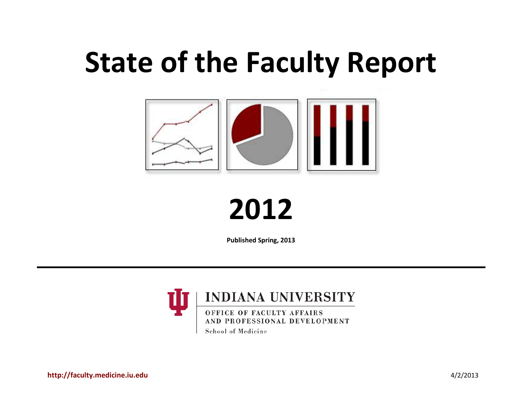# **State of the Faculty Report**



**2012** 

**Published Spring, 2013**



School of Medicine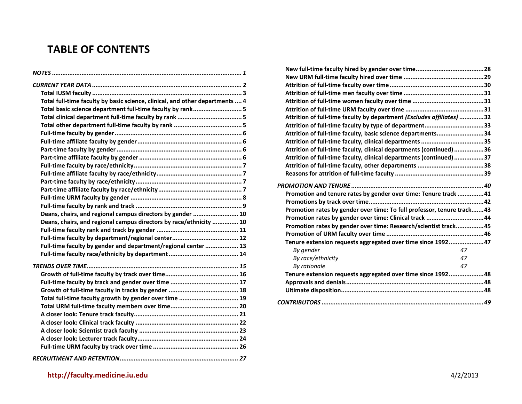# **TABLE OF CONTENTS**

| Total full-time faculty by basic science, clinical, and other departments  4 |
|------------------------------------------------------------------------------|
| Total basic science department full-time faculty by rank 5                   |
|                                                                              |
|                                                                              |
|                                                                              |
|                                                                              |
|                                                                              |
|                                                                              |
|                                                                              |
|                                                                              |
|                                                                              |
|                                                                              |
|                                                                              |
|                                                                              |
| Deans, chairs, and regional campus directors by gender  10                   |
| Deans, chairs, and regional campus directors by race/ethnicity  10           |
|                                                                              |
|                                                                              |
| Full-time faculty by gender and department/regional center  13               |
|                                                                              |
|                                                                              |
|                                                                              |
|                                                                              |
|                                                                              |
| Total full-time faculty growth by gender over time  19                       |
|                                                                              |
|                                                                              |
|                                                                              |
|                                                                              |
|                                                                              |
|                                                                              |
|                                                                              |

| Attrition of full-time faculty by department (Excludes affiliates) 32  |  |
|------------------------------------------------------------------------|--|
| Attrition of full-time faculty by type of department33                 |  |
| Attrition of full-time faculty, basic science departments34            |  |
|                                                                        |  |
| Attrition of full-time faculty, clinical departments (continued) 36    |  |
| Attrition of full-time faculty, clinical departments (continued) 37    |  |
|                                                                        |  |
|                                                                        |  |
|                                                                        |  |
| Promotion and tenure rates by gender over time: Tenure track 41        |  |
|                                                                        |  |
| Promotion rates by gender over time: To full professor, tenure track43 |  |
| Promotion rates by gender over time: Clinical track 44                 |  |
| Promotion rates by gender over time: Research/scientist track45        |  |
|                                                                        |  |
| Tenure extension requests aggregated over time since 199247            |  |
| By gender<br>47                                                        |  |
| By race/ethnicity<br>47                                                |  |
| By rationale<br>47                                                     |  |
| Tenure extension requests aggregated over time since 199248            |  |
|                                                                        |  |
|                                                                        |  |
|                                                                        |  |
|                                                                        |  |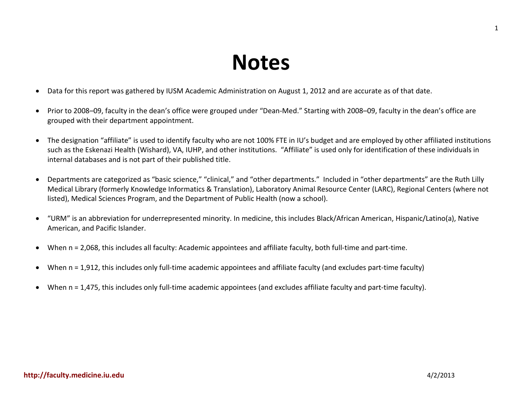# **Notes**

- <span id="page-2-0"></span>• Data for this report was gathered by IUSM Academic Administration on August 1, 2012 and are accurate as of that date.
- Prior to 2008–09, faculty in the dean's office were grouped under "Dean-Med." Starting with 2008–09, faculty in the dean's office are grouped with their department appointment.
- The designation "affiliate" is used to identify faculty who are not 100% FTE in IU's budget and are employed by other affiliated institutions such as the Eskenazi Health (Wishard), VA, IUHP, and other institutions. "Affiliate" is used only for identification of these individuals in internal databases and is not part of their published title.
- Departments are categorized as "basic science," "clinical," and "other departments." Included in "other departments" are the Ruth Lilly Medical Library (formerly Knowledge Informatics & Translation), Laboratory Animal Resource Center (LARC), Regional Centers (where not listed), Medical Sciences Program, and the Department of Public Health (now a school).
- "URM" is an abbreviation for underrepresented minority. In medicine, this includes Black/African American, Hispanic/Latino(a), Native American, and Pacific Islander.
- When n = 2,068, this includes all faculty: Academic appointees and affiliate faculty, both full-time and part-time.
- When n = 1,912, this includes only full-time academic appointees and affiliate faculty (and excludes part-time faculty)
- When n = 1,475, this includes only full-time academic appointees (and excludes affiliate faculty and part-time faculty).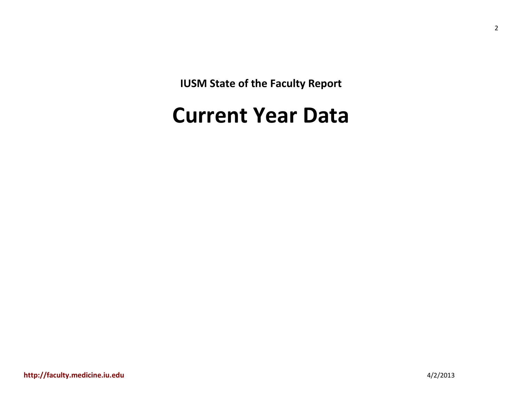**IUSM State of the Faculty Report**

# <span id="page-3-0"></span>**Current Year Data**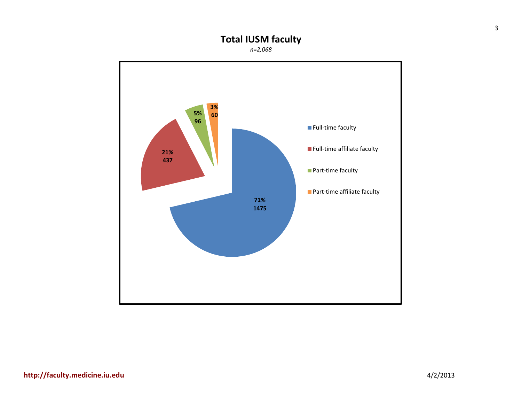# **Total IUSM faculty**

*n=2,068*

<span id="page-4-0"></span>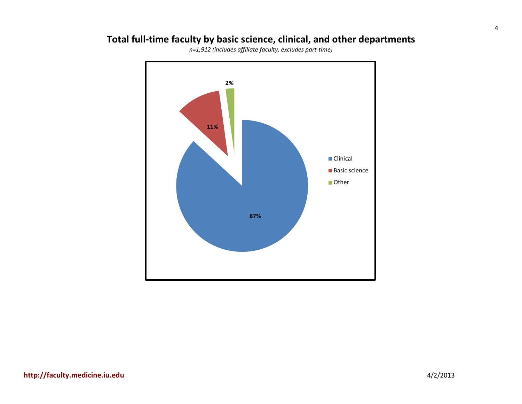# <span id="page-5-0"></span>**Total full-time faculty by basic science, clinical, and other departments**



*n=1,912 (includes affiliate faculty, excludes part-time)*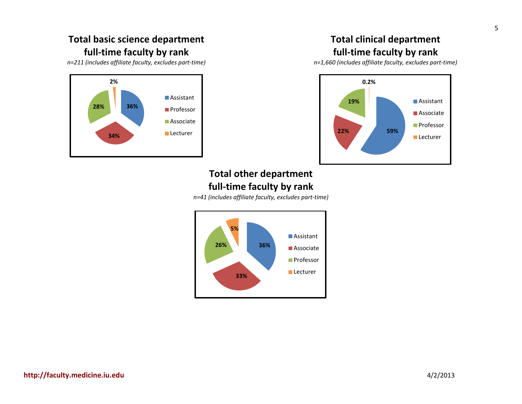### <span id="page-6-0"></span>**Total basic science department full-time faculty by rank**

*n=211 (includes affiliate faculty, excludes part-time)*

<span id="page-6-2"></span>

### **Total clinical department full-time faculty by rank**

<span id="page-6-1"></span>*n=1,660 (includes affiliate faculty, excludes part-time)*



#### **Total other department full-time faculty by rank**

*n=41 (includes affiliate faculty, excludes part-time)*

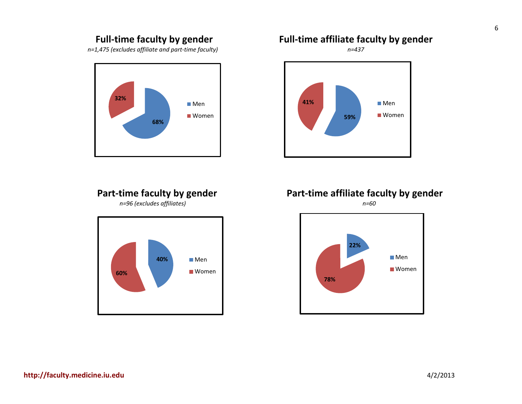#### **Full-time faculty by gender**

<span id="page-7-0"></span>*n=1,475 (excludes affiliate and part-time faculty)*



**Part-time faculty by gender** *n=96 (excludes affiliates)*

<span id="page-7-2"></span>

#### <span id="page-7-1"></span>**Full-time affiliate faculty by gender**

*n=437*



<span id="page-7-3"></span>**Part-time affiliate faculty by gender** *n=60*

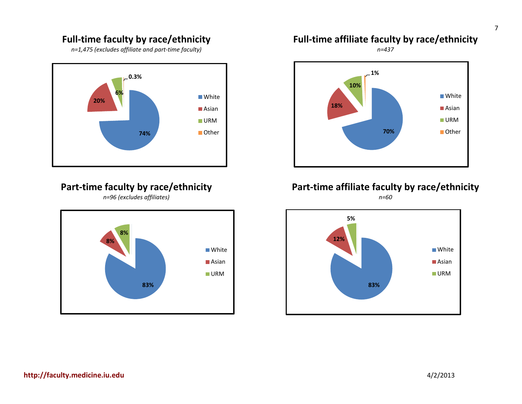#### **Full-time faculty by race/ethnicity**

*n=1,475 (excludes affiliate and part-time faculty)*

<span id="page-8-0"></span>

# <span id="page-8-2"></span>**Part-time faculty by race/ethnicity**

*n=96 (excludes affiliates)*



# <span id="page-8-1"></span>**Full-time affiliate faculty by race/ethnicity**

*n=437*



#### <span id="page-8-3"></span>**Part-time affiliate faculty by race/ethnicity** *n=60*

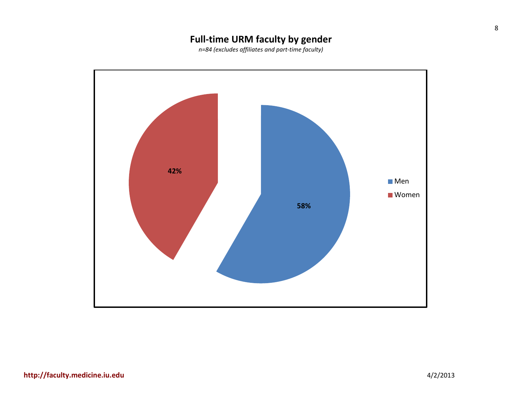# **Full-time URM faculty by gender**

*n=84 (excludes affiliates and part-time faculty)*

<span id="page-9-0"></span>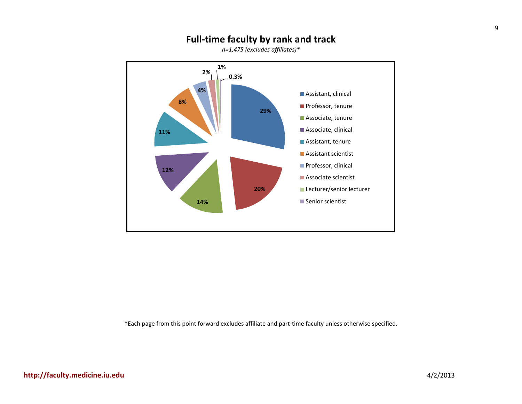#### **Full-time faculty by rank and track**

*n=1,475 (excludes affiliates)\**

<span id="page-10-0"></span>

\*Each page from this point forward excludes affiliate and part-time faculty unless otherwise specified.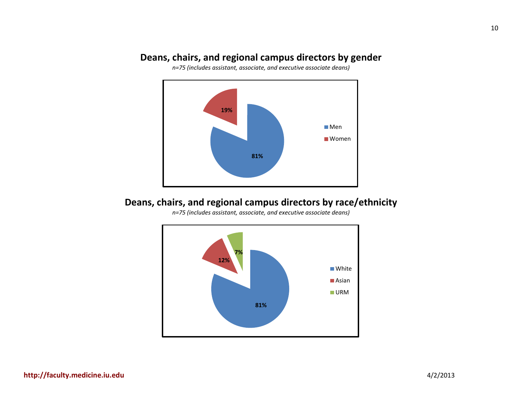#### <span id="page-11-0"></span>**Deans, chairs, and regional campus directors by gender**

*n=75 (includes assistant, associate, and executive associate deans)*



#### <span id="page-11-1"></span>**Deans, chairs, and regional campus directors by race/ethnicity**

*n=75 (includes assistant, associate, and executive associate deans)*

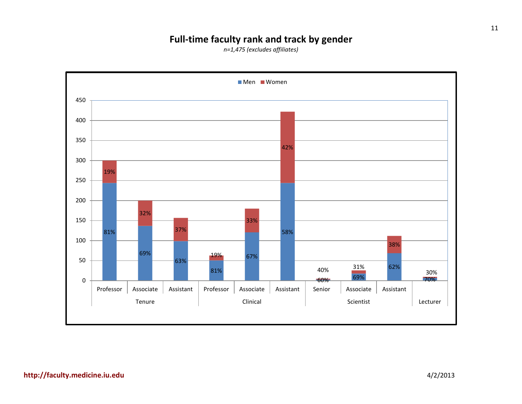### **Full-time faculty rank and track by gender**

*n=1,475 (excludes affiliates)*

<span id="page-12-0"></span>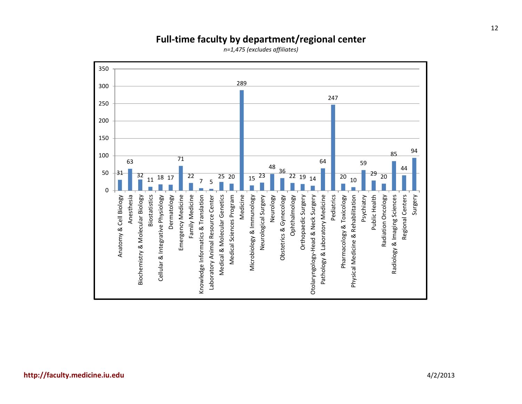<span id="page-13-0"></span>

### **Full-time faculty by department/regional center**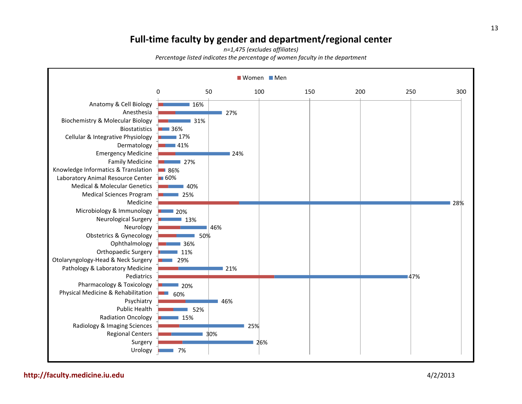#### **Full-time faculty by gender and department/regional center**

*n=1,475 (excludes affiliates) Percentage listed indicates the percentage of women faculty in the department*

<span id="page-14-0"></span>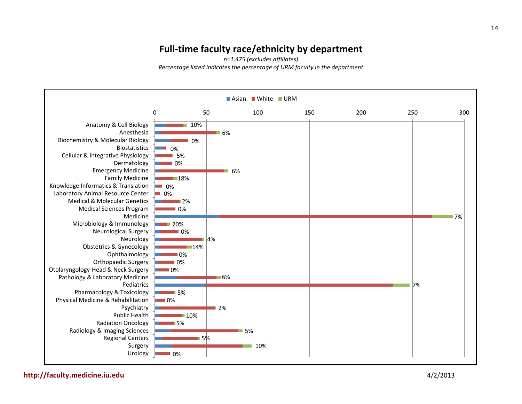#### **Full-time faculty race/ethnicity by department**

*n=1,475 (excludes affiliates) Percentage listed indicates the percentage of URM faculty in the department*

<span id="page-15-0"></span>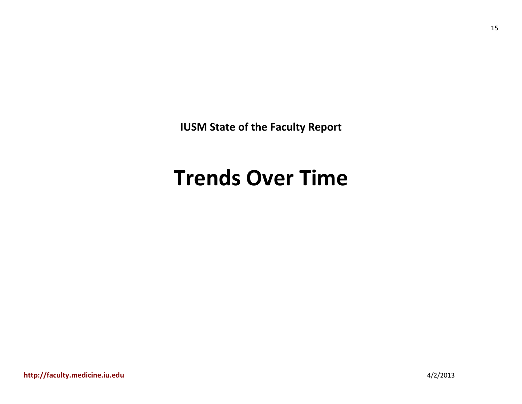**IUSM State of the Faculty Report**

# <span id="page-16-0"></span>**Trends Over Time**

15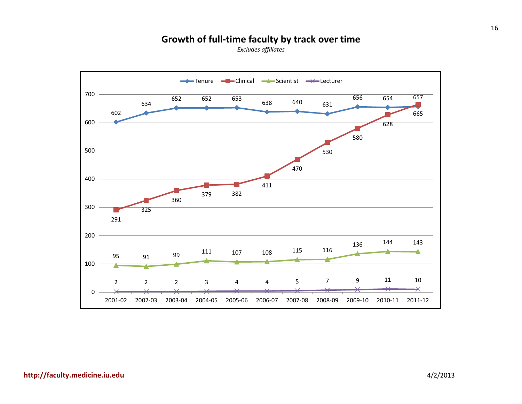#### **Growth of full-time faculty by track over time**

<span id="page-17-0"></span>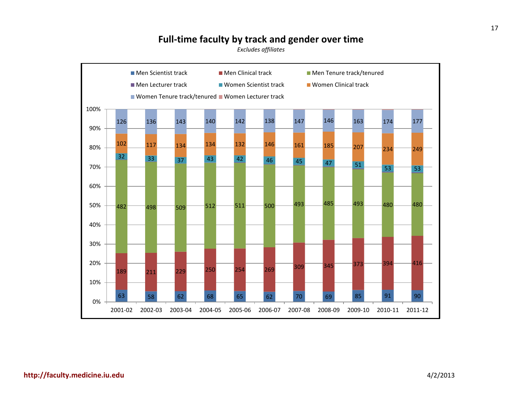#### **Full-time faculty by track and gender over time**

<span id="page-18-0"></span>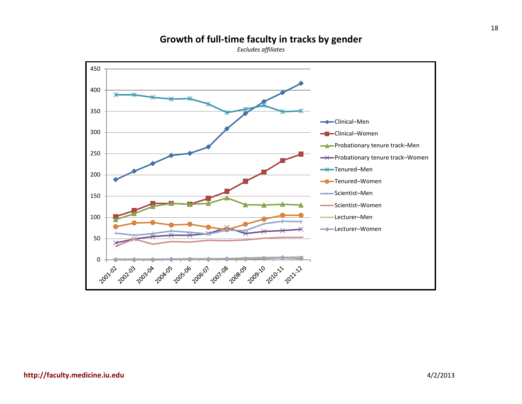#### **Growth of full-time faculty in tracks by gender**

<span id="page-19-0"></span>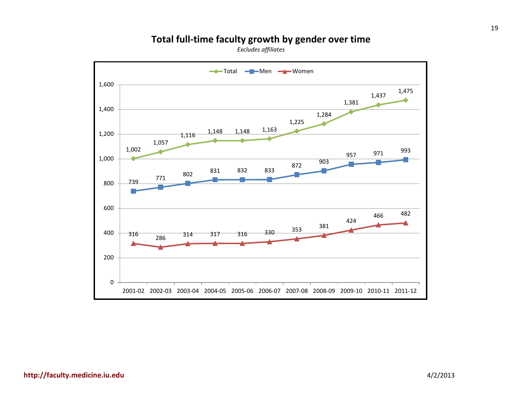#### **Total full-time faculty growth by gender over time**

<span id="page-20-0"></span>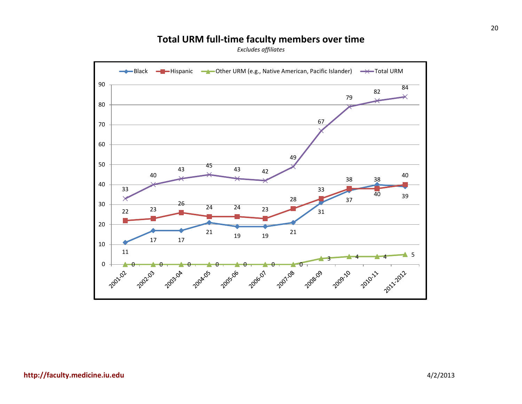#### **Total URM full-time faculty members over time**

<span id="page-21-0"></span>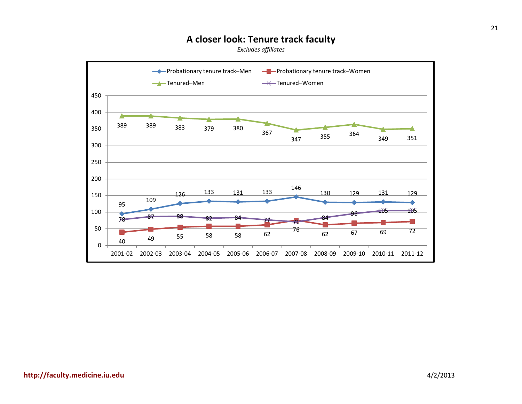#### **A closer look: Tenure track faculty**

<span id="page-22-0"></span>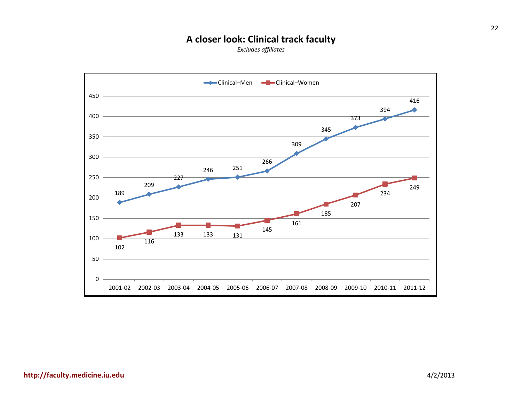#### **A closer look: Clinical track faculty**

<span id="page-23-0"></span>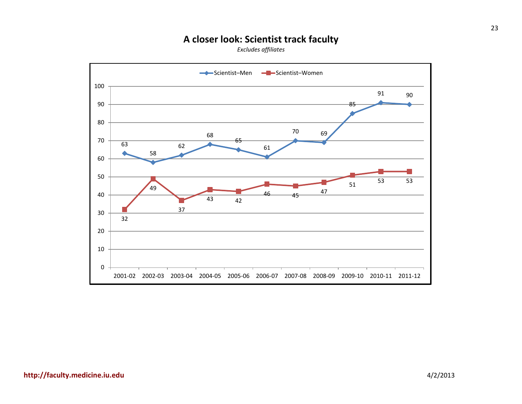#### **A closer look: Scientist track faculty**

<span id="page-24-0"></span>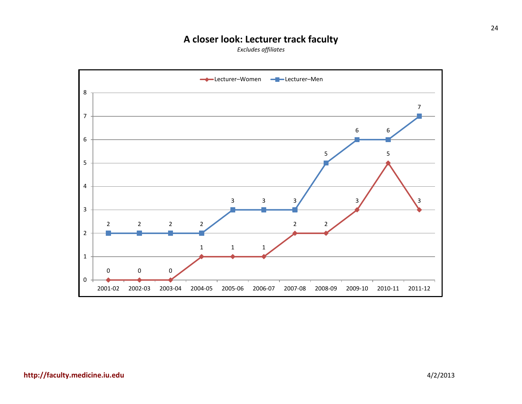# **A closer look: Lecturer track faculty**

<span id="page-25-0"></span>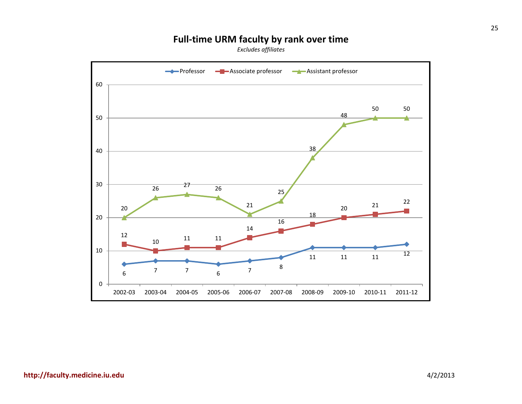# **Full-time URM faculty by rank over time**

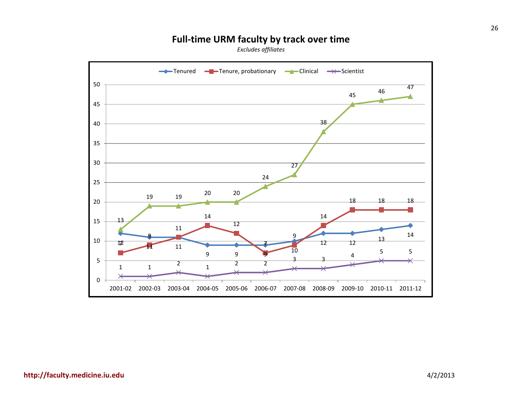# **Full-time URM faculty by track over time**

<span id="page-27-0"></span>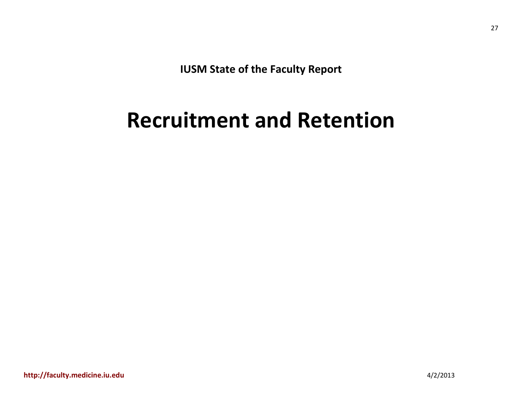**IUSM State of the Faculty Report**

# <span id="page-28-0"></span>**Recruitment and Retention**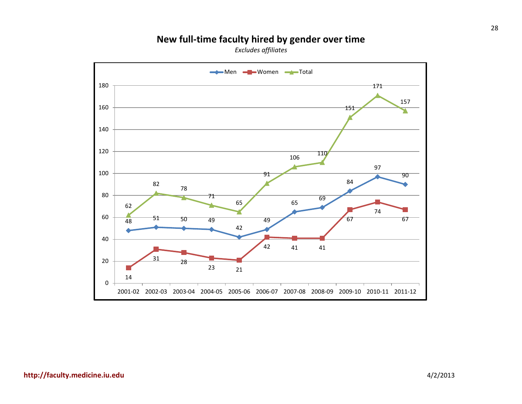# **New full-time faculty hired by gender over time**

<span id="page-29-0"></span>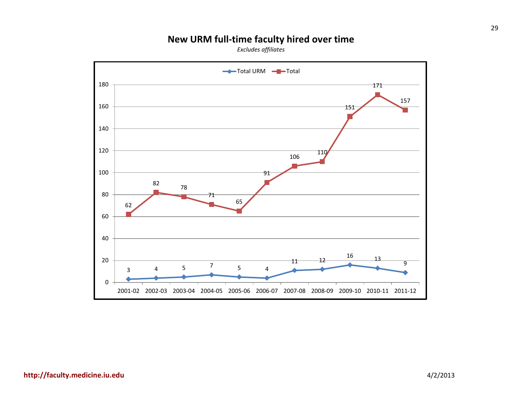# **New URM full-time faculty hired over time**

<span id="page-30-0"></span>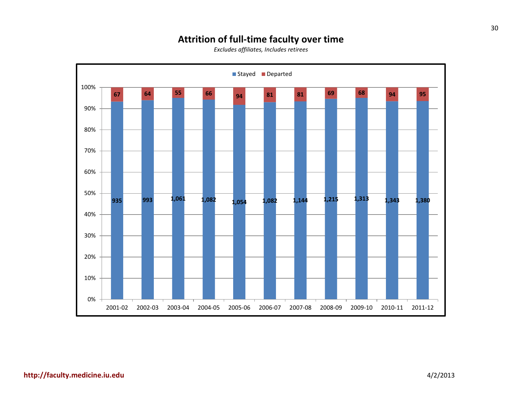#### **Attrition of full-time faculty over time**

<span id="page-31-0"></span>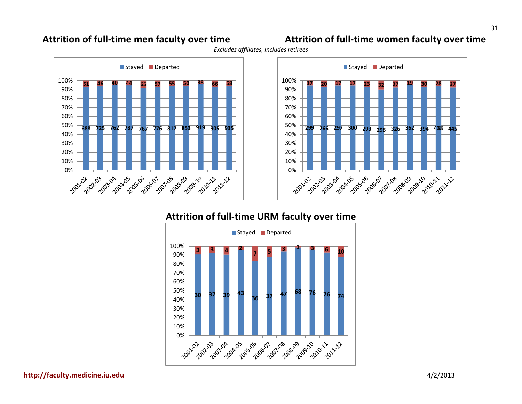### <span id="page-32-0"></span>**Attrition of full-time men faculty over time Attrition of full-time women faculty over time**

<span id="page-32-1"></span>Stayed Departed 100% **17 20 17 17 23 32 27 19 30 28 37** 90% 80% 70% 60% 50% **299 266 297 300 293 298 326 362 394 438 445** 40% 30% 20% 10% 2001-1 14.05-100 1110 - 1111 15-06 - 100 1907-08-200 11.08.109 Below 101 **1211-122** 2021-2031-2041-25

#### **Attrition of full-time URM faculty over time**

<span id="page-32-2"></span>

**[http://faculty.medicine.iu.edu](http://faculty.medicine.iu.edu/)** 4/2/2013

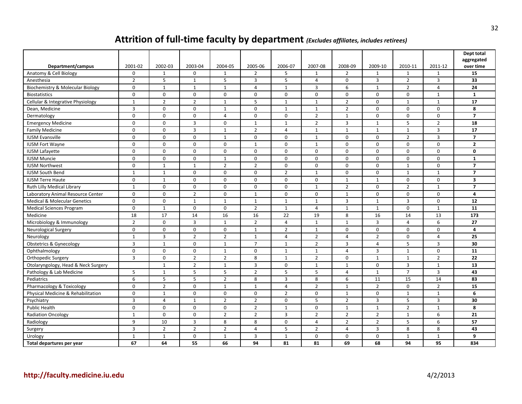# **Attrition of full-time faculty by department** *(Excludes affiliates, includes retirees)*

<span id="page-33-0"></span>

|                                         |                  |                |                |                |                |                  |                  |                |                |                |                | Dept total<br>aggregated |
|-----------------------------------------|------------------|----------------|----------------|----------------|----------------|------------------|------------------|----------------|----------------|----------------|----------------|--------------------------|
| Department/campus                       | 2001-02          | 2002-03        | 2003-04        | 2004-05        | 2005-06        | 2006-07          | 2007-08          | 2008-09        | 2009-10        | 2010-11        | 2011-12        | over time                |
| Anatomy & Cell Biology                  | $\mathbf 0$      | $\mathbf{1}$   | $\mathbf 0$    | 1              | $\overline{2}$ | 5                | $\mathbf{1}$     | $\overline{2}$ | $\mathbf{1}$   | $\mathbf{1}$   | $\mathbf{1}$   | 15                       |
| Anesthesia                              | $\overline{2}$   | 5              | $\mathbf{1}$   | 5              | 3              | 5                | $\overline{4}$   | $\mathbf 0$    | 3              | $\overline{2}$ | 3              | 33                       |
| Biochemistry & Molecular Biology        | $\mathbf 0$      | $\mathbf{1}$   | $\mathbf{1}$   | 1              | $\overline{4}$ | $\mathbf{1}$     | 3                | 6              | $\mathbf{1}$   | $\overline{2}$ | $\overline{4}$ | 24                       |
| <b>Biostatistics</b>                    | $\mathbf 0$      | $\mathbf 0$    | $\mathbf 0$    | $\mathbf 0$    | $\mathbf 0$    | $\mathbf 0$      | $\mathbf 0$      | $\mathbf 0$    | $\mathbf{0}$   | $\mathbf 0$    | $\mathbf{1}$   | 1                        |
| Cellular & Integrative Physiology       | $\mathbf{1}$     | $\overline{2}$ | $\overline{2}$ | $\mathbf{1}$   | 5              | $\mathbf{1}$     | $\mathbf{1}$     | $\overline{2}$ | 0              | $\mathbf{1}$   | $\mathbf{1}$   | 17                       |
| Dean, Medicine                          | 3                | $\mathbf 0$    | $\mathbf 0$    | $\mathbf{1}$   | $\mathbf 0$    | $\mathbf{1}$     | $\mathbf{1}$     | $\overline{2}$ | $\mathbf{0}$   | $\mathbf 0$    | $\mathbf 0$    | 8                        |
| Dermatology                             | $\mathbf 0$      | $\Omega$       | $\mathbf 0$    | $\overline{4}$ | $\Omega$       | $\mathbf 0$      | $\overline{2}$   | $\mathbf{1}$   | $\Omega$       | $\Omega$       | $\mathbf 0$    | $\overline{7}$           |
| <b>Emergency Medicine</b>               | $\mathbf 0$      | $\mathbf 0$    | $\overline{3}$ | $\mathbf 0$    | $\mathbf{1}$   | $\mathbf{1}$     | $\overline{2}$   | $\overline{3}$ | $\mathbf{1}$   | 5              | $\overline{2}$ | 18                       |
| <b>Family Medicine</b>                  | $\pmb{0}$        | $\mathbf 0$    | $\overline{3}$ | $\mathbf{1}$   | $\overline{2}$ | $\sqrt{4}$       | $\mathbf 1$      | $\mathbf{1}$   | $\mathbf{1}$   | $\mathbf{1}$   | $\mathsf 3$    | 17                       |
| <b>IUSM Evansville</b>                  | 0                | $\mathbf 0$    | $\mathbf 0$    | $\mathbf{1}$   | $\mathbf 0$    | 0                | $\mathbf{1}$     | $\mathbf 0$    | 0              | $\overline{2}$ | 3              | $\overline{7}$           |
| <b>IUSM Fort Wayne</b>                  | $\mathbf 0$      | $\mathbf 0$    | $\mathbf 0$    | $\mathbf 0$    | $\mathbf{1}$   | $\mathbf 0$      | $\mathbf{1}$     | $\mathbf 0$    | $\mathbf 0$    | $\mathbf 0$    | $\mathbf 0$    | $\overline{2}$           |
| <b>IUSM Lafayette</b>                   | $\mathbf 0$      | $\mathbf 0$    | $\mathbf{0}$   | $\mathbf 0$    | $\Omega$       | $\Omega$         | $\mathbf 0$      | $\mathbf 0$    | $\mathbf 0$    | $\Omega$       | $\Omega$       | $\mathbf{0}$             |
| <b>IUSM Muncie</b>                      | $\boldsymbol{0}$ | $\mathbf 0$    | $\mathbf 0$    | $\mathbf{1}$   | $\mathbf 0$    | $\mathbf 0$      | $\mathbf 0$      | $\mathbf 0$    | $\mathbf 0$    | $\mathbf 0$    | $\mathbf 0$    | $\mathbf{1}$             |
| <b>IUSM Northwest</b>                   | $\mathbf 0$      | $\mathbf{1}$   | $\mathbf{1}$   | $\overline{2}$ | $\overline{2}$ | $\mathbf 0$      | 0                | $\mathbf 0$    | $\mathbf{0}$   | $\mathbf{1}$   | $\mathbf 0$    | $\overline{7}$           |
| <b>IUSM South Bend</b>                  | $\mathbf{1}$     | $\mathbf{1}$   | $\mathbf 0$    | $\mathbf 0$    | $\Omega$       | $\overline{2}$   | $\mathbf{1}$     | $\mathbf 0$    | $\mathbf{0}$   | $\mathbf{1}$   | $\mathbf{1}$   | $\overline{7}$           |
| <b>IUSM Terre Haute</b>                 | $\Omega$         | $\mathbf{1}$   | $\mathbf 0$    | $\mathbf 0$    | $\Omega$       | $\Omega$         | $\Omega$         | $\mathbf{1}$   | $\mathbf{1}$   | $\Omega$       | $\Omega$       | 3                        |
| Ruth Lilly Medical Library              | $\mathbf{1}$     | $\mathbf 0$    | $\mathbf 0$    | $\mathbf 0$    | $\mathbf 0$    | $\boldsymbol{0}$ | $\mathbf{1}$     | $\overline{2}$ | 0              | $\overline{2}$ | $\mathbf{1}$   | $\overline{7}$           |
| Laboratory Animal Resource Center       | $\boldsymbol{0}$ | $\mathbf 0$    | $\overline{2}$ | 0              | $\mathbf{1}$   | $\boldsymbol{0}$ | $\mathbf 0$      | $\mathbf{1}$   | 0              | $\mathbf 0$    | $\mathbf 0$    | 4                        |
| <b>Medical &amp; Molecular Genetics</b> | $\mathbf 0$      | $\mathbf 0$    | $\mathbf{1}$   | $\mathbf{1}$   | $\mathbf{1}$   | $\mathbf{1}$     | $\mathbf{1}$     | $\overline{3}$ | $\mathbf 1$    | 3              | $\mathbf 0$    | 12                       |
| <b>Medical Sciences Program</b>         | $\mathbf 0$      | $\mathbf{1}$   | $\mathbf 0$    | $\mathbf 0$    | $\overline{2}$ | $\mathbf{1}$     | $\overline{4}$   | $\mathbf{1}$   | $\mathbf{1}$   | $\Omega$       | $\mathbf{1}$   | 11                       |
| Medicine                                | 18               | 17             | 14             | 16             | 16             | 22               | 19               | 8              | 16             | 14             | 13             | 173                      |
| Microbiology & Immunology               | $\overline{2}$   | $\mathbf 0$    | $\overline{3}$ | $\mathbf{1}$   | $\overline{2}$ | $\overline{4}$   | $\mathbf{1}$     | $\mathbf{1}$   | 3              | $\overline{4}$ | 6              | 27                       |
| Neurological Surgery                    | $\mathbf 0$      | $\mathbf 0$    | $\mathbf 0$    | $\mathbf 0$    | $\mathbf{1}$   | $\overline{2}$   | $\mathbf{1}$     | $\mathbf 0$    | $\mathbf{0}$   | $\Omega$       | $\mathbf 0$    | 4                        |
| Neurology                               | $\mathbf{1}$     | $\overline{3}$ | $\overline{2}$ | $\overline{2}$ | $\mathbf{1}$   | $\overline{4}$   | $\overline{2}$   | $\overline{4}$ | $\overline{2}$ | $\Omega$       | $\overline{4}$ | 25                       |
| <b>Obstetrics &amp; Gynecology</b>      | 3                | $\mathbf{1}$   | $\mathbf 0$    | $\mathbf{1}$   | $\overline{7}$ | $\mathbf{1}$     | $\overline{2}$   | 3              | $\overline{4}$ | 5              | 3              | 30                       |
| Ophthalmology                           | $\mathbf 0$      | $\mathbf 0$    | $\mathbf{0}$   | $\mathbf{1}$   | $\mathbf 0$    | $\mathbf{1}$     | $\mathbf{1}$     | $\overline{4}$ | $\overline{3}$ | $\mathbf{1}$   | $\mathbf 0$    | 11                       |
| Orthopedic Surgery                      | 3                | $\mathbf 0$    | $\overline{2}$ | $\overline{2}$ | 8              | $1\,$            | $\overline{2}$   | $\mathbf 0$    | $\mathbf{1}$   | $\mathbf{1}$   | $\overline{2}$ | 22                       |
| Otolaryngology, Head & Neck Surgery     |                  | $\mathbf{1}$   | $\overline{2}$ | $\mathbf{1}$   | 3              | $\boldsymbol{0}$ | $\mathbf{1}$     | $\mathbf{1}$   | 0              | 3              | $\mathbf{1}$   | 13                       |
| Pathology & Lab Medicine                | 5                | $\mathbf{1}$   | 5              | 5              | $\overline{2}$ | 5                | 5                | $\overline{4}$ | $\mathbf{1}$   | $\overline{7}$ | 3              | 43                       |
| Pediatrics                              | 6                | 5              | 5              | $\overline{2}$ | 8              | $\overline{3}$   | 8                | 6              | 11             | 15             | 14             | 83                       |
| Pharmacology & Toxicology               | $\mathbf 0$      | $\overline{2}$ | $\mathbf 0$    | $\mathbf{1}$   | $\mathbf{1}$   | $\overline{4}$   | $\overline{2}$   | $\mathbf{1}$   | $\overline{2}$ | $\mathbf 0$    | $\overline{2}$ | 15                       |
| Physical Medicine & Rehabilitation      | $\mathbf 0$      | $\mathbf{1}$   | $\mathbf 0$    | $\mathbf 0$    | $\mathbf 0$    | $\overline{2}$   | $\boldsymbol{0}$ | $\mathbf{1}$   | 0              | $\mathbf{1}$   | $\mathbf{1}$   | 6                        |
| Psychiatry                              | 3                | $\overline{4}$ | $\mathbf{1}$   | $\overline{2}$ | $\overline{2}$ | $\mathbf 0$      | 5                | $\overline{2}$ | 3              | 5              | 3              | 30                       |
| Public Health                           | $\mathbf 0$      | $\Omega$       | $\mathbf 0$    | $\mathbf 0$    | $\overline{2}$ | $\mathbf{1}$     | $\Omega$         | $\mathbf{1}$   | $\mathbf{1}$   | $\overline{2}$ | $\mathbf{1}$   | 8                        |
| <b>Radiation Oncology</b>               | $\mathbf{1}$     | $\mathbf 0$    | $\mathbf 0$    | $\overline{2}$ | $\overline{2}$ | $\overline{3}$   | $\overline{2}$   | $\overline{2}$ | $\overline{2}$ | $\mathbf{1}$   | 6              | 21                       |
| Radiology                               | 9                | 10             | $\overline{3}$ | 8              | 8              | $\pmb{0}$        | 4                | $\overline{2}$ | $\mathbf{2}$   | 5              | 6              | 57                       |
| Surgery                                 | 3                | $\overline{2}$ | $\overline{2}$ | $\overline{2}$ | 4              | 5                | $\overline{2}$   | $\overline{4}$ | 3              | 8              | 8              | 43                       |
| Urology                                 | $\mathbf{1}$     | $\mathbf{1}$   | $\mathbf 0$    | 1              | $\overline{3}$ | $\mathbf{1}$     | $\mathbf 0$      | $\mathbf 0$    | $\mathbf 0$    | $\mathbf{1}$   | $\overline{1}$ | 9                        |
| Total departures per year               | 67               | 64             | 55             | 66             | 94             | 81               | 81               | 69             | 68             | 94             | 95             | 834                      |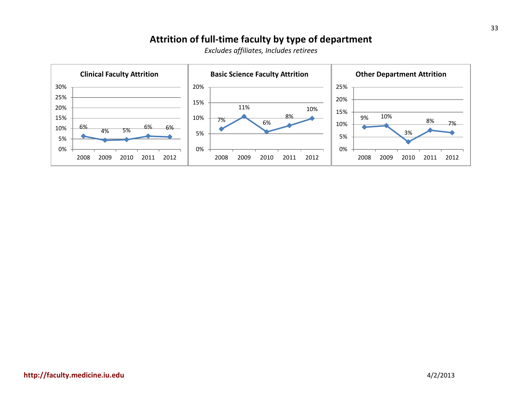#### **Attrition of full-time faculty by type of department**

<span id="page-34-0"></span>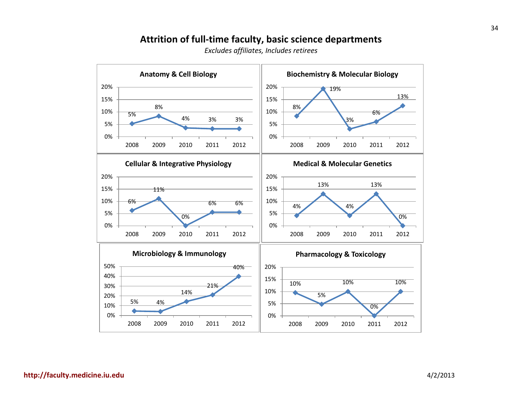#### **Attrition of full-time faculty, basic science departments**

<span id="page-35-0"></span>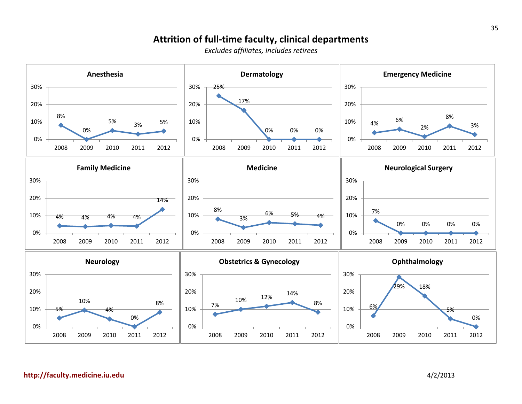#### **Attrition of full-time faculty, clinical departments**

*Excludes affiliates, Includes retirees*

<span id="page-36-0"></span>

**[http://faculty.medicine.iu.edu](http://faculty.medicine.iu.edu/)** 4/2/2013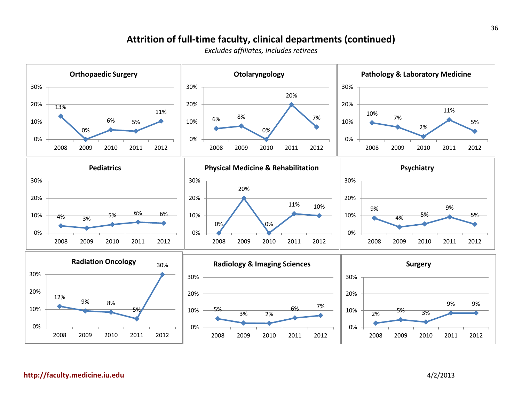#### **Attrition of full-time faculty, clinical departments (continued)**

*Excludes affiliates, Includes retirees*

<span id="page-37-0"></span>

**[http://faculty.medicine.iu.edu](http://faculty.medicine.iu.edu/)** 4/2/2013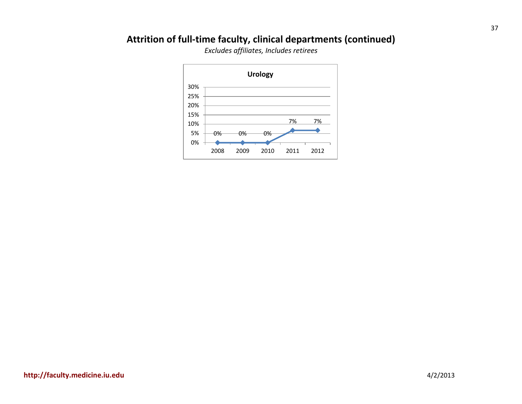# <span id="page-38-0"></span>**Attrition of full-time faculty, clinical departments (continued)**

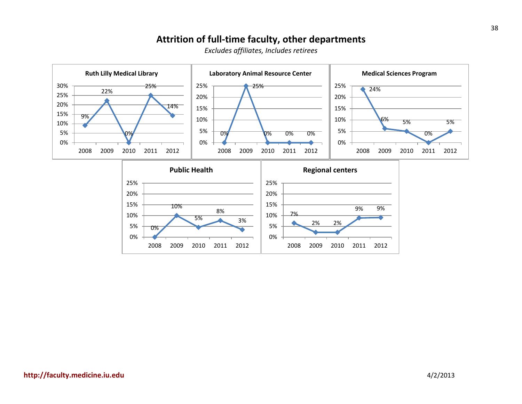#### **Attrition of full-time faculty, other departments**

<span id="page-39-0"></span>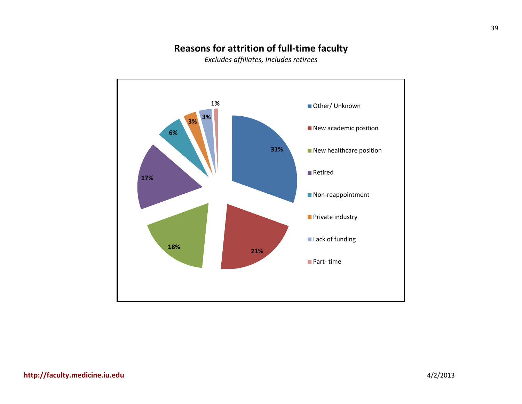#### **Reasons for attrition of full-time faculty**

<span id="page-40-0"></span>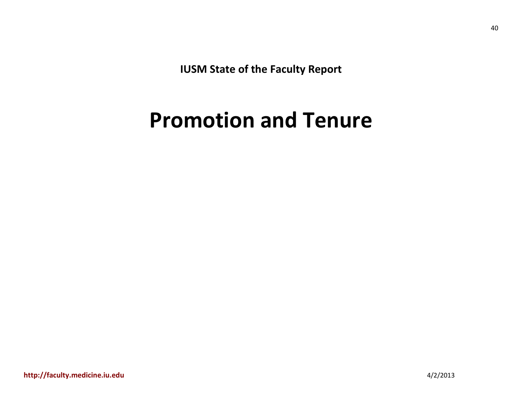**IUSM State of the Faculty Report**

# <span id="page-41-0"></span>**Promotion and Tenure**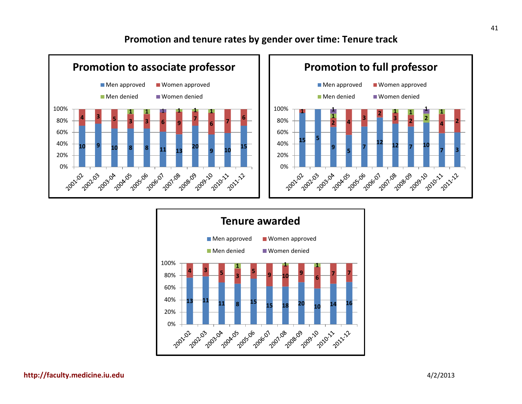#### **Promotion and tenure rates by gender over time: Tenure track**

<span id="page-42-0"></span>



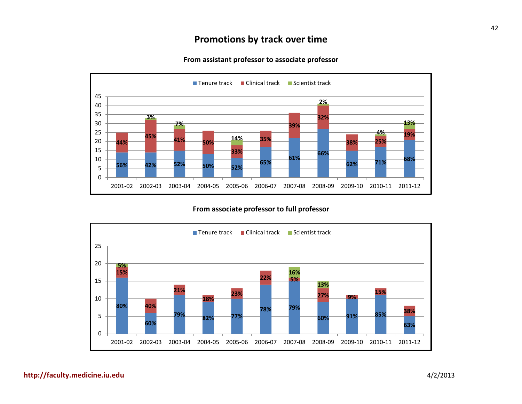#### **Promotions by track over time**

#### **From assistant professor to associate professor**

<span id="page-43-0"></span>

**From associate professor to full professor**

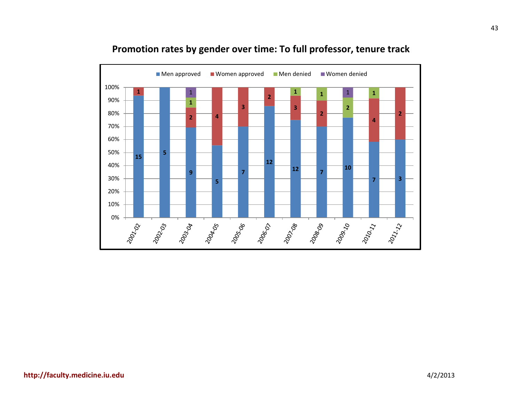<span id="page-44-0"></span>

#### **Promotion rates by gender over time: To full professor, tenure track**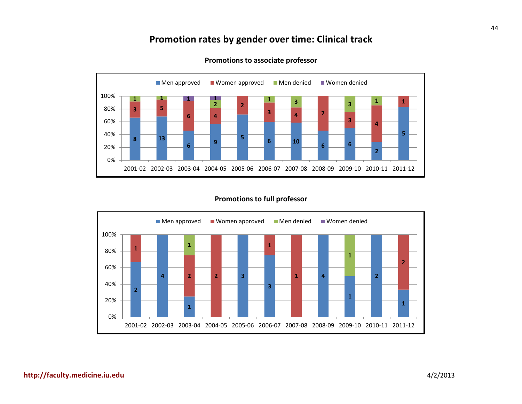#### **Promotion rates by gender over time: Clinical track**

<span id="page-45-0"></span>

**Promotions to associate professor**

#### **Promotions to full professor**

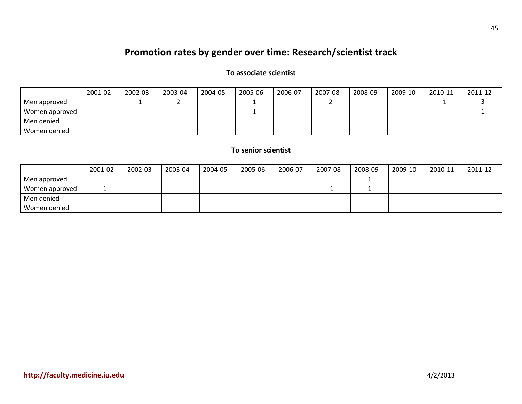# **Promotion rates by gender over time: Research/scientist track**

#### **To associate scientist**

<span id="page-46-0"></span>

|                | 2001-02 | 2002-03 | 2003-04 | 2004-05 | 2005-06 | 2006-07 | 2007-08 | 2008-09 | 2009-10 | 2010-11 | 2011-12 |
|----------------|---------|---------|---------|---------|---------|---------|---------|---------|---------|---------|---------|
| Men approved   |         |         |         |         |         |         |         |         |         |         |         |
| Women approved |         |         |         |         |         |         |         |         |         |         |         |
| Men denied     |         |         |         |         |         |         |         |         |         |         |         |
| Women denied   |         |         |         |         |         |         |         |         |         |         |         |

#### **To senior scientist**

|                | 2001-02 | 2002-03 | 2003-04 | 2004-05 | 2005-06 | 2006-07 | 2007-08 | 2008-09 | 2009-10 | 2010-11 | 2011-12 |
|----------------|---------|---------|---------|---------|---------|---------|---------|---------|---------|---------|---------|
| Men approved   |         |         |         |         |         |         |         |         |         |         |         |
| Women approved |         |         |         |         |         |         |         |         |         |         |         |
| Men denied     |         |         |         |         |         |         |         |         |         |         |         |
| Women denied   |         |         |         |         |         |         |         |         |         |         |         |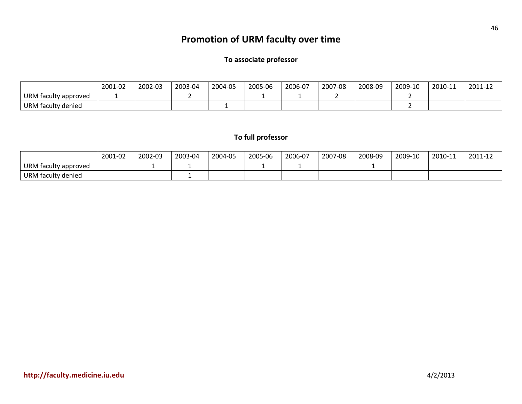# **Promotion of URM faculty over time**

#### **To associate professor**

<span id="page-47-0"></span>

|                      | 2001-02 | 2002-03 | 2003-04 | 2004-05 | 2005-06 | 2006-07 | 2007-08 | 2008-09 | 2009-10 | 2010-11 | 2011-12 |
|----------------------|---------|---------|---------|---------|---------|---------|---------|---------|---------|---------|---------|
| URM faculty approved |         |         |         |         |         |         |         |         |         |         |         |
| URM faculty denied   |         |         |         |         |         |         |         |         |         |         |         |

#### **To full professor**

|                           | 2001-02 | 2002-03 | 2003-04 | 2004-05 | 2005-06 | 2006-07 | 2007-08 | 2008-09 | 2009-10 | 2010-11 | 2011-12 |
|---------------------------|---------|---------|---------|---------|---------|---------|---------|---------|---------|---------|---------|
| URM<br>I faculty approved |         |         |         |         |         |         |         |         |         |         |         |
| URM<br>I faculty denied   |         |         |         |         |         |         |         |         |         |         |         |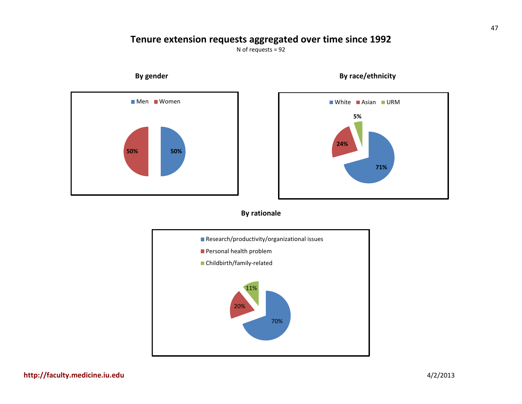#### **Tenure extension requests aggregated over time since 1992**

N of requests = 92

<span id="page-48-0"></span>

<span id="page-48-2"></span>

<span id="page-48-1"></span> **By gender By race/ethnicity**

#### **By rationale**

<span id="page-48-3"></span>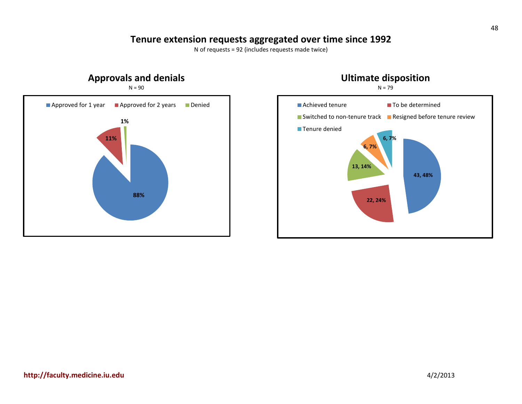#### **Tenure extension requests aggregated over time since 1992**

N of requests = 92 (includes requests made twice)

<span id="page-49-1"></span><span id="page-49-0"></span>

<span id="page-49-2"></span>